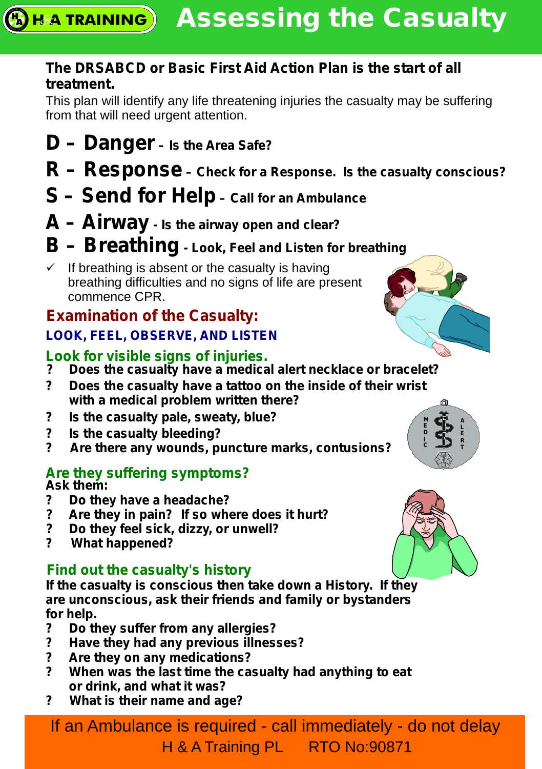#### **The DRSABCD or Basic First Aid Action Plan is the start of all treatment.**

This plan will identify any life threatening injuries the casualty may be suffering from that will need urgent attention.

- **D Danger Is the Area Safe?**
- **R Response Check for a Response. Is the casualty conscious?**
- **S Send for Help Call for an Ambulance**
- **A Airway Is the airway open and clear?**
- **B Breathing Look, Feel and Listen for breathing**
- $\checkmark$  If breathing is absent or the casualty is having breathing difficulties and no signs of life are present commence CPR.

# **Examination of the Casualty: LOOK, FEEL, OBSERVE, AND LISTEN**

#### **Look for visible signs of injuries.**

- **? Does the casualty have a medical alert necklace or bracelet?**
- **? Does the casualty have a tattoo on the inside of their wrist with a medical problem written there?**
- **? Is the casualty pale, sweaty, blue?**
- **? Is the casualty bleeding?**
- **? Are there any wounds, puncture marks, contusions?**

#### **Are they suffering symptoms?**

**Ask them:**

- **? Do they have a headache?**
- **? Are they in pain? If so where does it hurt?**
- **? Do they feel sick, dizzy, or unwell?**
- **? What happened?**

# **Find out the casualty's history**

**If the casualty is conscious then take down a History. If they are unconscious, ask their friends and family or bystanders for help.**

- **? Do they suffer from any allergies?**
- **? Have they had any previous illnesses?**
- **? Are they on any medications?**
- **? When was the last time the casualty had anything to eat or drink, and what it was?**
- **? What is their name and age?**

If an Ambulance is required - call immediately - do not delay H & A Training PL RTO No:90871





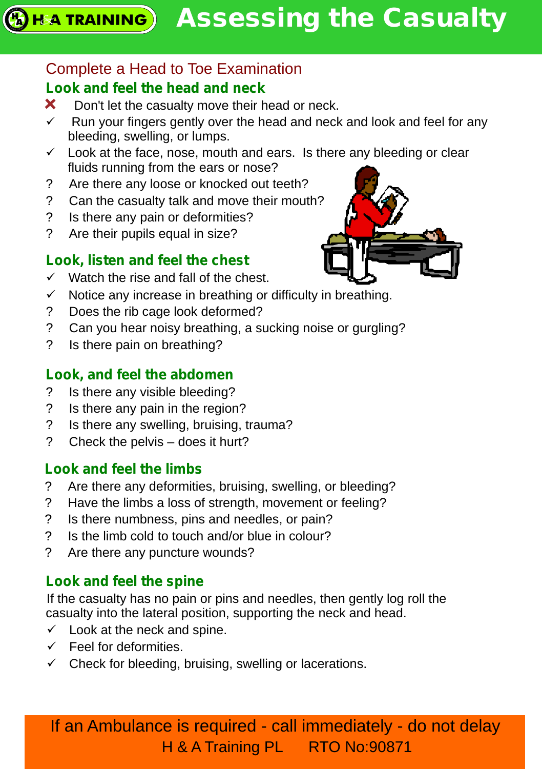# Complete a Head to Toe Examination

# **Look and feel the head and neck**

- Don't let the casualty move their head or neck.  $\mathbf x$
- $\checkmark$  Run your fingers gently over the head and neck and look and feel for any bleeding, swelling, or lumps.
- $\checkmark$  Look at the face, nose, mouth and ears. Is there any bleeding or clear fluids running from the ears or nose?
- ? Are there any loose or knocked out teeth?
- ? Can the casualty talk and move their mouth?
- ? Is there any pain or deformities?
- ? Are their pupils equal in size?

# **Look, listen and feel the chest**

- $\checkmark$  Watch the rise and fall of the chest.
- $\checkmark$  Notice any increase in breathing or difficulty in breathing.
- ? Does the rib cage look deformed?
- ? Can you hear noisy breathing, a sucking noise or gurgling?
- ? Is there pain on breathing?

# **Look, and feel the abdomen**

- ? Is there any visible bleeding?
- ? Is there any pain in the region?
- ? Is there any swelling, bruising, trauma?
- ? Check the pelvis does it hurt?

# **Look and feel the limbs**

- ? Are there any deformities, bruising, swelling, or bleeding?
- ? Have the limbs a loss of strength, movement or feeling?
- ? Is there numbness, pins and needles, or pain?
- ? Is the limb cold to touch and/or blue in colour?
- ? Are there any puncture wounds?

# **Look and feel the spine**

If the casualty has no pain or pins and needles, then gently log roll the casualty into the lateral position, supporting the neck and head.

- $\checkmark$  Look at the neck and spine.
- $\checkmark$  Feel for deformities.
- $\checkmark$  Check for bleeding, bruising, swelling or lacerations.

If an Ambulance is required - call immediately - do not delay H & A Training PL RTO No:90871